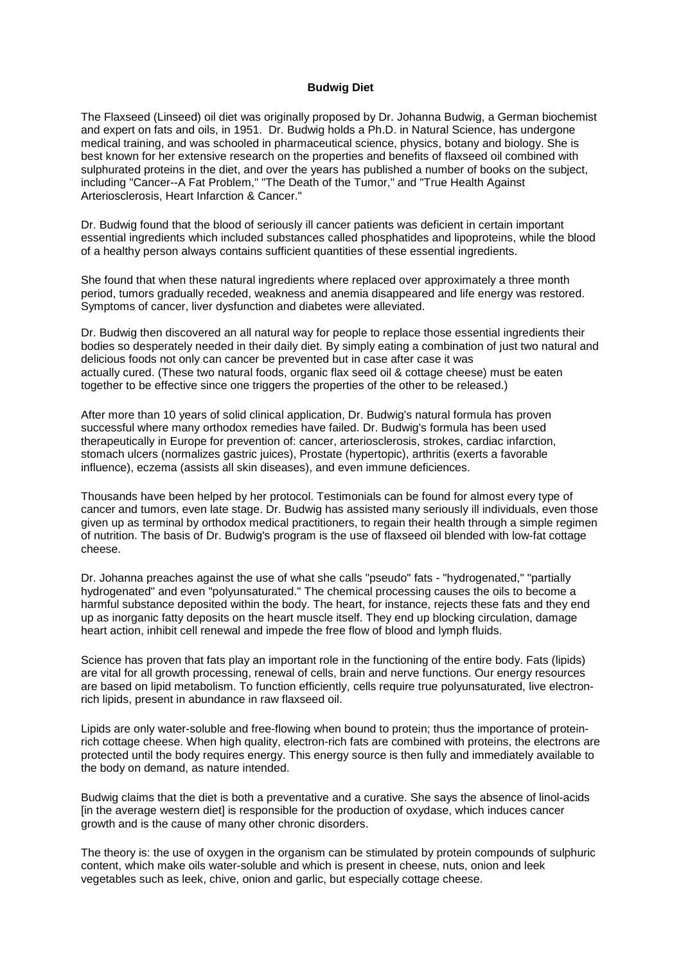## **Budwig Diet**

The Flaxseed (Linseed) oil diet was originally proposed by Dr. Johanna Budwig, a German biochemist and expert on fats and oils, in 1951. Dr. Budwig holds a Ph.D. in Natural Science, has undergone medical training, and was schooled in pharmaceutical science, physics, botany and biology. She is best known for her extensive research on the properties and benefits of flaxseed oil combined with sulphurated proteins in the diet, and over the years has published a number of books on the subject, including "Cancer--A Fat Problem," "The Death of the Tumor," and "True Health Against Arteriosclerosis, Heart Infarction & Cancer."

Dr. Budwig found that the blood of seriously ill cancer patients was deficient in certain important essential ingredients which included substances called phosphatides and lipoproteins, while the blood of a healthy person always contains sufficient quantities of these essential ingredients.

She found that when these natural ingredients where replaced over approximately a three month period, tumors gradually receded, weakness and anemia disappeared and life energy was restored. Symptoms of cancer, liver dysfunction and diabetes were alleviated.

Dr. Budwig then discovered an all natural way for people to replace those essential ingredients their bodies so desperately needed in their daily diet. By simply eating a combination of just two natural and delicious foods not only can cancer be prevented but in case after case it was actually cured. (These two natural foods, organic flax seed oil & cottage cheese) must be eaten together to be effective since one triggers the properties of the other to be released.)

After more than 10 years of solid clinical application, Dr. Budwig's natural formula has proven successful where many orthodox remedies have failed. Dr. Budwig's formula has been used therapeutically in Europe for prevention of: cancer, arteriosclerosis, strokes, cardiac infarction, stomach ulcers (normalizes gastric juices), Prostate (hypertopic), arthritis (exerts a favorable influence), eczema (assists all skin diseases), and even immune deficiences.

Thousands have been helped by her protocol. Testimonials can be found for almost every type of cancer and tumors, even late stage. Dr. Budwig has assisted many seriously ill individuals, even those given up as terminal by orthodox medical practitioners, to regain their health through a simple regimen of nutrition. The basis of Dr. Budwig's program is the use of flaxseed oil blended with low-fat cottage cheese.

Dr. Johanna preaches against the use of what she calls "pseudo" fats - "hydrogenated," "partially hydrogenated" and even "polyunsaturated." The chemical processing causes the oils to become a harmful substance deposited within the body. The heart, for instance, rejects these fats and they end up as inorganic fatty deposits on the heart muscle itself. They end up blocking circulation, damage heart action, inhibit cell renewal and impede the free flow of blood and lymph fluids.

Science has proven that fats play an important role in the functioning of the entire body. Fats (lipids) are vital for all growth processing, renewal of cells, brain and nerve functions. Our energy resources are based on lipid metabolism. To function efficiently, cells require true polyunsaturated, live electronrich lipids, present in abundance in raw flaxseed oil.

Lipids are only water-soluble and free-flowing when bound to protein; thus the importance of proteinrich cottage cheese. When high quality, electron-rich fats are combined with proteins, the electrons are protected until the body requires energy. This energy source is then fully and immediately available to the body on demand, as nature intended.

Budwig claims that the diet is both a preventative and a curative. She says the absence of linol-acids [in the average western diet] is responsible for the production of oxydase, which induces cancer growth and is the cause of many other chronic disorders.

The theory is: the use of oxygen in the organism can be stimulated by protein compounds of sulphuric content, which make oils water-soluble and which is present in cheese, nuts, onion and leek vegetables such as leek, chive, onion and garlic, but especially cottage cheese.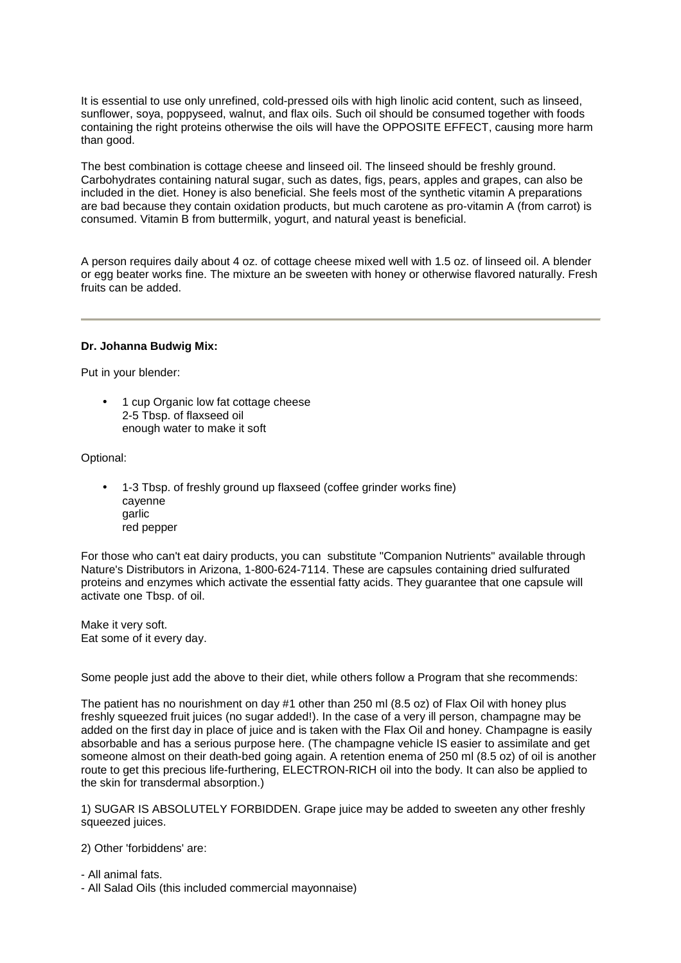It is essential to use only unrefined, cold-pressed oils with high linolic acid content, such as linseed, sunflower, soya, poppyseed, walnut, and flax oils. Such oil should be consumed together with foods containing the right proteins otherwise the oils will have the OPPOSITE EFFECT, causing more harm than good.

The best combination is cottage cheese and linseed oil. The linseed should be freshly ground. Carbohydrates containing natural sugar, such as dates, figs, pears, apples and grapes, can also be included in the diet. Honey is also beneficial. She feels most of the synthetic vitamin A preparations are bad because they contain oxidation products, but much carotene as pro-vitamin A (from carrot) is consumed. Vitamin B from buttermilk, yogurt, and natural yeast is beneficial.

A person requires daily about 4 oz. of cottage cheese mixed well with 1.5 oz. of linseed oil. A blender or egg beater works fine. The mixture an be sweeten with honey or otherwise flavored naturally. Fresh fruits can be added.

## **Dr. Johanna Budwig Mix:**

Put in your blender:

• 1 cup Organic low fat cottage cheese 2-5 Tbsp. of flaxseed oil enough water to make it soft

Optional:

• 1-3 Tbsp. of freshly ground up flaxseed (coffee grinder works fine) cayenne garlic red pepper

For those who can't eat dairy products, you can substitute "Companion Nutrients" available through Nature's Distributors in Arizona, 1-800-624-7114. These are capsules containing dried sulfurated proteins and enzymes which activate the essential fatty acids. They guarantee that one capsule will activate one Tbsp. of oil.

Make it very soft. Eat some of it every day.

Some people just add the above to their diet, while others follow a Program that she recommends:

The patient has no nourishment on day #1 other than 250 ml (8.5 oz) of Flax Oil with honey plus freshly squeezed fruit juices (no sugar added!). In the case of a very ill person, champagne may be added on the first day in place of juice and is taken with the Flax Oil and honey. Champagne is easily absorbable and has a serious purpose here. (The champagne vehicle IS easier to assimilate and get someone almost on their death-bed going again. A retention enema of 250 ml (8.5 oz) of oil is another route to get this precious life-furthering, ELECTRON-RICH oil into the body. It can also be applied to the skin for transdermal absorption.)

1) SUGAR IS ABSOLUTELY FORBIDDEN. Grape juice may be added to sweeten any other freshly squeezed juices.

2) Other 'forbiddens' are:

- All animal fats.

- All Salad Oils (this included commercial mayonnaise)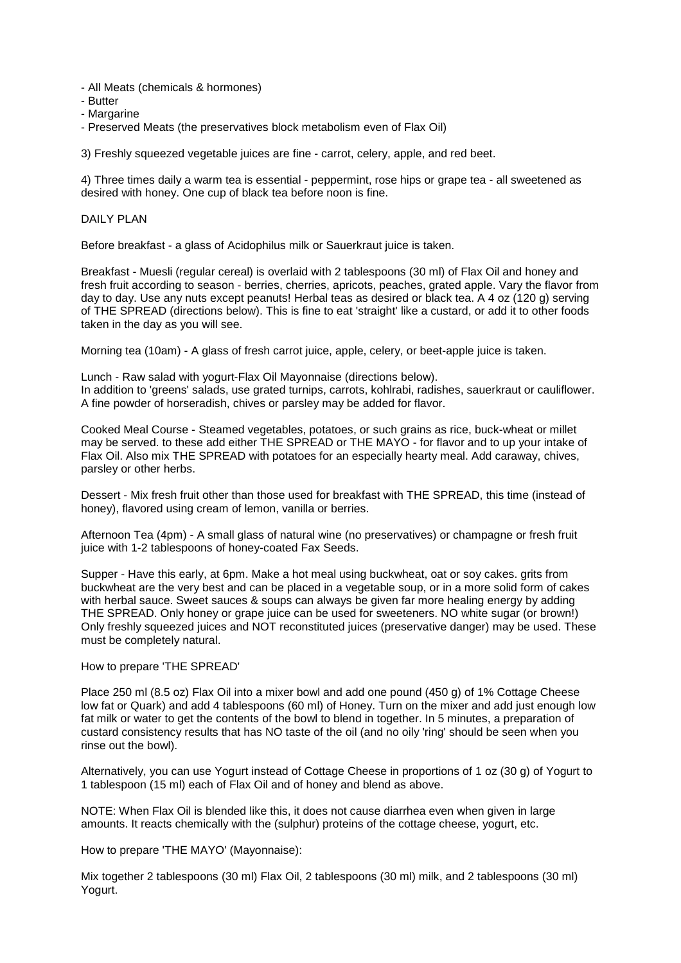- All Meats (chemicals & hormones)
- Butter
- Margarine
- Preserved Meats (the preservatives block metabolism even of Flax Oil)

3) Freshly squeezed vegetable juices are fine - carrot, celery, apple, and red beet.

4) Three times daily a warm tea is essential - peppermint, rose hips or grape tea - all sweetened as desired with honey. One cup of black tea before noon is fine.

## DAILY PLAN

Before breakfast - a glass of Acidophilus milk or Sauerkraut juice is taken.

Breakfast - Muesli (regular cereal) is overlaid with 2 tablespoons (30 ml) of Flax Oil and honey and fresh fruit according to season - berries, cherries, apricots, peaches, grated apple. Vary the flavor from day to day. Use any nuts except peanuts! Herbal teas as desired or black tea. A 4 oz (120 g) serving of THE SPREAD (directions below). This is fine to eat 'straight' like a custard, or add it to other foods taken in the day as you will see.

Morning tea (10am) - A glass of fresh carrot juice, apple, celery, or beet-apple juice is taken.

Lunch - Raw salad with yogurt-Flax Oil Mayonnaise (directions below). In addition to 'greens' salads, use grated turnips, carrots, kohlrabi, radishes, sauerkraut or cauliflower. A fine powder of horseradish, chives or parsley may be added for flavor.

Cooked Meal Course - Steamed vegetables, potatoes, or such grains as rice, buck-wheat or millet may be served. to these add either THE SPREAD or THE MAYO - for flavor and to up your intake of Flax Oil. Also mix THE SPREAD with potatoes for an especially hearty meal. Add caraway, chives, parsley or other herbs.

Dessert - Mix fresh fruit other than those used for breakfast with THE SPREAD, this time (instead of honey), flavored using cream of lemon, vanilla or berries.

Afternoon Tea (4pm) - A small glass of natural wine (no preservatives) or champagne or fresh fruit juice with 1-2 tablespoons of honey-coated Fax Seeds.

Supper - Have this early, at 6pm. Make a hot meal using buckwheat, oat or soy cakes. grits from buckwheat are the very best and can be placed in a vegetable soup, or in a more solid form of cakes with herbal sauce. Sweet sauces & soups can always be given far more healing energy by adding THE SPREAD. Only honey or grape juice can be used for sweeteners. NO white sugar (or brown!) Only freshly squeezed juices and NOT reconstituted juices (preservative danger) may be used. These must be completely natural.

## How to prepare 'THE SPREAD'

Place 250 ml (8.5 oz) Flax Oil into a mixer bowl and add one pound (450 g) of 1% Cottage Cheese low fat or Quark) and add 4 tablespoons (60 ml) of Honey. Turn on the mixer and add just enough low fat milk or water to get the contents of the bowl to blend in together. In 5 minutes, a preparation of custard consistency results that has NO taste of the oil (and no oily 'ring' should be seen when you rinse out the bowl).

Alternatively, you can use Yogurt instead of Cottage Cheese in proportions of 1 oz (30 g) of Yogurt to 1 tablespoon (15 ml) each of Flax Oil and of honey and blend as above.

NOTE: When Flax Oil is blended like this, it does not cause diarrhea even when given in large amounts. It reacts chemically with the (sulphur) proteins of the cottage cheese, yogurt, etc.

How to prepare 'THE MAYO' (Mayonnaise):

Mix together 2 tablespoons (30 ml) Flax Oil, 2 tablespoons (30 ml) milk, and 2 tablespoons (30 ml) Yogurt.